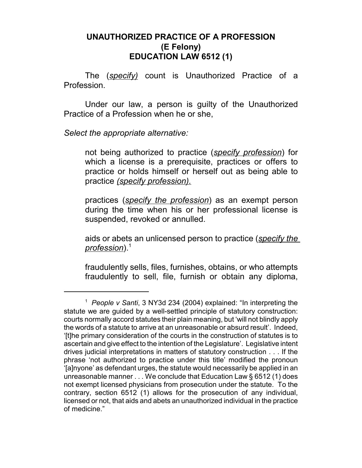## **UNAUTHORIZED PRACTICE OF A PROFESSION (E Felony) EDUCATION LAW 6512 (1)**

The (*specify)* count is Unauthorized Practice of a Profession.

Under our law, a person is guilty of the Unauthorized Practice of a Profession when he or she,

*Select the appropriate alternative:*

not being authorized to practice (*specify profession*) for which a license is a prerequisite, practices or offers to practice or holds himself or herself out as being able to practice *(specify profession).*

practices (*specify the profession*) as an exempt person during the time when his or her professional license is suspended, revoked or annulled.

aids or abets an unlicensed person to practice (*specify the profession*).<sup>1</sup>

fraudulently sells, files, furnishes, obtains, or who attempts fraudulently to sell, file, furnish or obtain any diploma,

<sup>1</sup> *People v Santi*, 3 NY3d 234 (2004) explained: "In interpreting the statute we are guided by a well-settled principle of statutory construction: courts normally accord statutes their plain meaning, but 'will not blindly apply the words of a statute to arrive at an unreasonable or absurd result'. Indeed, '[t]he primary consideration of the courts in the construction of statutes is to ascertain and give effect to the intention of the Legislature'. Legislative intent drives judicial interpretations in matters of statutory construction . . . If the phrase 'not authorized to practice under this title' modified the pronoun '[a]nyone' as defendant urges, the statute would necessarily be applied in an unreasonable manner . . . We conclude that Education Law § 6512 (1) does not exempt licensed physicians from prosecution under the statute. To the contrary, section 6512 (1) allows for the prosecution of any individual, licensed or not, that aids and abets an unauthorized individual in the practice of medicine."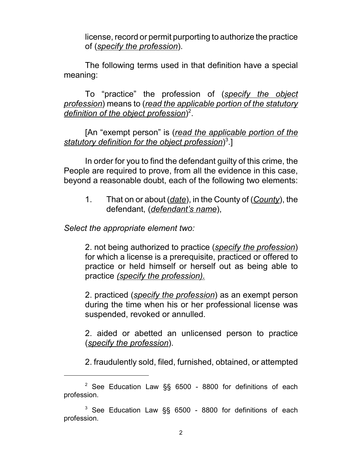license, record or permit purporting to authorize the practice of (*specify the profession*).

The following terms used in that definition have a special meaning:

To "practice" the profession of (*specify the object profession*) means to (*read the applicable portion of the statutory definition of the object profession*) 2 .

[An "exempt person" is (*read the applicable portion of the statutory definition for the object profession*) 3 .]

In order for you to find the defendant guilty of this crime, the People are required to prove, from all the evidence in this case, beyond a reasonable doubt, each of the following two elements:

1. That on or about (*date*), in the County of (*County*), the defendant, (*defendant's name*),

*Select the appropriate element two:*

2. not being authorized to practice (*specify the profession*) for which a license is a prerequisite, practiced or offered to practice or held himself or herself out as being able to practice *(specify the profession).*

2. practiced (*specify the profession*) as an exempt person during the time when his or her professional license was suspended, revoked or annulled.

2. aided or abetted an unlicensed person to practice (*specify the profession*).

2. fraudulently sold, filed, furnished, obtained, or attempted

 $2$  See Education Law §§ 6500 - 8800 for definitions of each profession.

<sup>&</sup>lt;sup>3</sup> See Education Law §§ 6500 - 8800 for definitions of each profession.